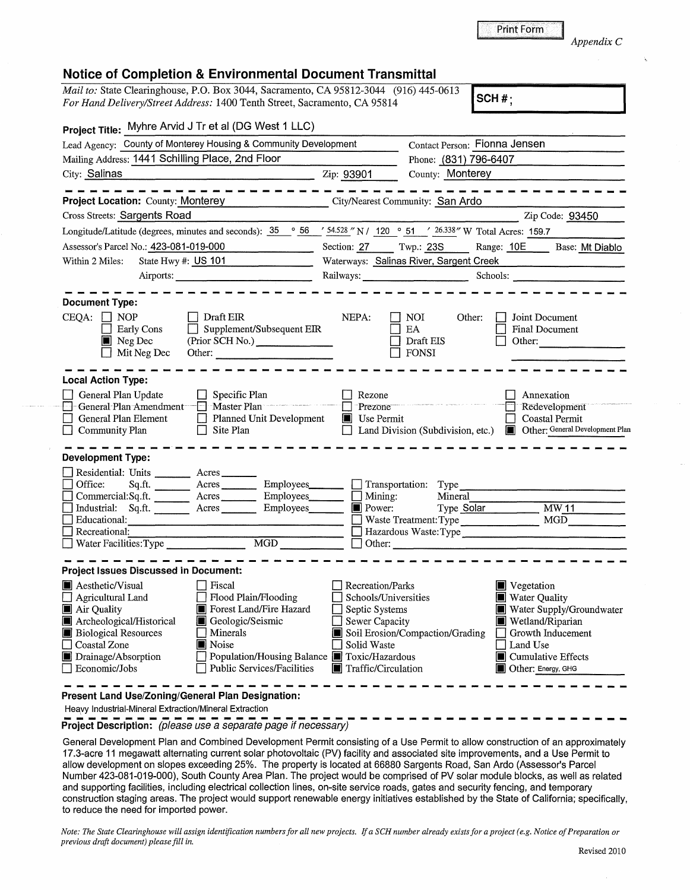**Print Form** 

 $\overline{\text{SCH}\#}$ ;

*Appendix* C

## **Notice of Completion** & **Environmental Document Transmittal**

*Mail to:* State Clearinghouse, P.O. Box 3044, Sacramento, CA 95812-3044 (916) 445-0613 *For Hand Delivery/Street Address:* 1400 Tenth Street, Sacramento, CA 95814 **SCH#; SCH#**;

| Project Title: Myhre Arvid J Tr et al (DG West 1 LLC)                                                                                                                                                                                                                                                                                                                                 |                                                     |                                                                                                                                                                    |                                                                                                                                        |                       |                                                                                                                                                                          |  |
|---------------------------------------------------------------------------------------------------------------------------------------------------------------------------------------------------------------------------------------------------------------------------------------------------------------------------------------------------------------------------------------|-----------------------------------------------------|--------------------------------------------------------------------------------------------------------------------------------------------------------------------|----------------------------------------------------------------------------------------------------------------------------------------|-----------------------|--------------------------------------------------------------------------------------------------------------------------------------------------------------------------|--|
| Lead Agency: County of Monterey Housing & Community Development                                                                                                                                                                                                                                                                                                                       |                                                     | Contact Person: Fionna Jensen<br>Phone: (831) 796-6407                                                                                                             |                                                                                                                                        |                       |                                                                                                                                                                          |  |
| Mailing Address: 1441 Schilling Place, 2nd Floor                                                                                                                                                                                                                                                                                                                                      |                                                     |                                                                                                                                                                    |                                                                                                                                        |                       |                                                                                                                                                                          |  |
| City: Salinas<br><u>2ip: 93901</u>                                                                                                                                                                                                                                                                                                                                                    |                                                     | County: Monterey                                                                                                                                                   |                                                                                                                                        |                       |                                                                                                                                                                          |  |
| Project Location: County: Monterey City/Nearest Community: San Ardo                                                                                                                                                                                                                                                                                                                   |                                                     |                                                                                                                                                                    |                                                                                                                                        |                       | ----------                                                                                                                                                               |  |
| <b>Cross Streets: Sargents Road</b>                                                                                                                                                                                                                                                                                                                                                   |                                                     |                                                                                                                                                                    |                                                                                                                                        |                       | Zip Code: 93450                                                                                                                                                          |  |
| Longitude/Latitude (degrees, minutes and seconds): $\frac{35}{25}$ $\frac{\circ}{66}$ $\frac{56}{34.528}$ N / $\frac{120}{25}$ $\frac{\circ}{65}$ 51 $\frac{\prime}{26.338}$ W Total Acres: 159.7                                                                                                                                                                                     |                                                     |                                                                                                                                                                    |                                                                                                                                        |                       |                                                                                                                                                                          |  |
| Assessor's Parcel No.: 423-081-019-000                                                                                                                                                                                                                                                                                                                                                |                                                     |                                                                                                                                                                    |                                                                                                                                        |                       |                                                                                                                                                                          |  |
| Within 2 Miles:<br>State Hwy #: US 101                                                                                                                                                                                                                                                                                                                                                |                                                     | Section: 27 Twp.: 23S Range: 10E Base: Mt Diablo<br>Waterways: Salinas River, Sargent Creek Material Material Material Material Material Material Material Materia |                                                                                                                                        |                       |                                                                                                                                                                          |  |
|                                                                                                                                                                                                                                                                                                                                                                                       |                                                     | Railways: Schools: Schools:                                                                                                                                        |                                                                                                                                        |                       |                                                                                                                                                                          |  |
| <b>Document Type:</b>                                                                                                                                                                                                                                                                                                                                                                 |                                                     |                                                                                                                                                                    |                                                                                                                                        |                       |                                                                                                                                                                          |  |
| $CEQA: \Box NP$<br>$\Box$ Draft EIR<br>$\Box$ Early Cons<br>$\blacksquare$ Neg Dec<br>$\Box$ Mit Neg Dec                                                                                                                                                                                                                                                                              | $\Box$ Supplement/Subsequent EIR<br>(Prior SCH No.) | NEPA:                                                                                                                                                              | NOI<br>EA.<br>Draft EIS<br>FONSI                                                                                                       | Other:                | Joint Document<br><b>Final Document</b><br>Other: $\qquad \qquad$                                                                                                        |  |
| <b>Local Action Type:</b>                                                                                                                                                                                                                                                                                                                                                             |                                                     |                                                                                                                                                                    |                                                                                                                                        |                       |                                                                                                                                                                          |  |
| General Plan Update<br>$\Box$ Specific Plan<br>General Plan Element<br>Planned Unit Development<br>$\Box$ Site Plan<br>$\Box$ Community Plan                                                                                                                                                                                                                                          |                                                     | Rezone<br>-Prezone<br>$\blacksquare$ Use Permit                                                                                                                    |                                                                                                                                        |                       | Annexation<br>Redevelopment<br><b>Coastal Permit</b><br>Land Division (Subdivision, etc.) <b>I</b> Other: General Development Plan                                       |  |
| <b>Development Type:</b>                                                                                                                                                                                                                                                                                                                                                              |                                                     |                                                                                                                                                                    |                                                                                                                                        |                       |                                                                                                                                                                          |  |
| Residential: Units _______ Acres ______<br>Sq.ft. _________ Acres __________ Employees ________ _ _ Transportation: Type<br>Office:<br>Commercial:Sq.ft. __________ Acres<br>Industrial: Sq.ft. <u>Acres</u>                                                                                                                                                                          | Employees_________<br>Employees                     | $\Box$ Mining:<br>$\blacksquare$ Power:                                                                                                                            | Mineral                                                                                                                                | Type Solar MW11       |                                                                                                                                                                          |  |
| Educational:                                                                                                                                                                                                                                                                                                                                                                          |                                                     |                                                                                                                                                                    |                                                                                                                                        | Waste Treatment: Type |                                                                                                                                                                          |  |
| Recreational:                                                                                                                                                                                                                                                                                                                                                                         |                                                     |                                                                                                                                                                    |                                                                                                                                        |                       |                                                                                                                                                                          |  |
|                                                                                                                                                                                                                                                                                                                                                                                       |                                                     |                                                                                                                                                                    |                                                                                                                                        | $\Box$ Other:         |                                                                                                                                                                          |  |
| <b>Project Issues Discussed in Document:</b>                                                                                                                                                                                                                                                                                                                                          |                                                     |                                                                                                                                                                    |                                                                                                                                        |                       |                                                                                                                                                                          |  |
| <b>A</b> esthetic/Visual<br>$\Box$ Fiscal<br>Agricultural Land Flood Plain/Flooding<br>Air Quality<br>Forest Land/Fire Hazard<br>Archeological/Historical<br>Geologic/Seismic<br><b>Biological Resources</b><br>Minerals<br>Noise<br>Coastal Zone<br>Drainage/Absorption<br>Population/Housing Balance <b>I</b> Toxic/Hazardous<br><b>Public Services/Facilities</b><br>Economic/Jobs |                                                     | Solid Waste                                                                                                                                                        | Recreation/Parks<br>Schools/Universities<br>Septic Systems<br>Sewer Capacity<br>Soil Erosion/Compaction/Grading<br>Traffic/Circulation |                       | Vegetation<br><b>Water Quality</b><br>Water Supply/Groundwater<br>Wetland/Riparian<br>Growth Inducement<br>Land Use<br>■ Cumulative Effects<br><b>Other: Energy, GHG</b> |  |
| Present Land Use/Zoning/General Plan Designation:<br>Heavy Industrial-Mineral Extraction/Mineral Extraction                                                                                                                                                                                                                                                                           |                                                     |                                                                                                                                                                    |                                                                                                                                        |                       |                                                                                                                                                                          |  |

Project Description: *(please use a separate page if necessary)* 

General Development Plan and Combined Development Permit consisting of a Use Permit to allow construction of an approximately 17.3-acre 11 megawatt alternating current solar photovoltaic (PV) facility and associated site improvements, and a Use Permit to allow development on slopes exceeding 25%. The property is located at 66880 Sargents Road, San Arda (Assessor's Parcel Number 423-081-019-000), South County Area Plan. The project would be comprised of PV solar module blocks, as well as related and supporting facilities, including electrical collection lines, on-site service roads, gates and security fencing, and temporary construction staging areas. The project would support renewable energy initiatives established by the State of California; specifically, to reduce the need for imported power.

Note: The State Clearinghouse will assign identification numbers for all new projects. If a SCH number already exists for a project (e.g. Notice of Preparation or *previous draft document) please fill in.*